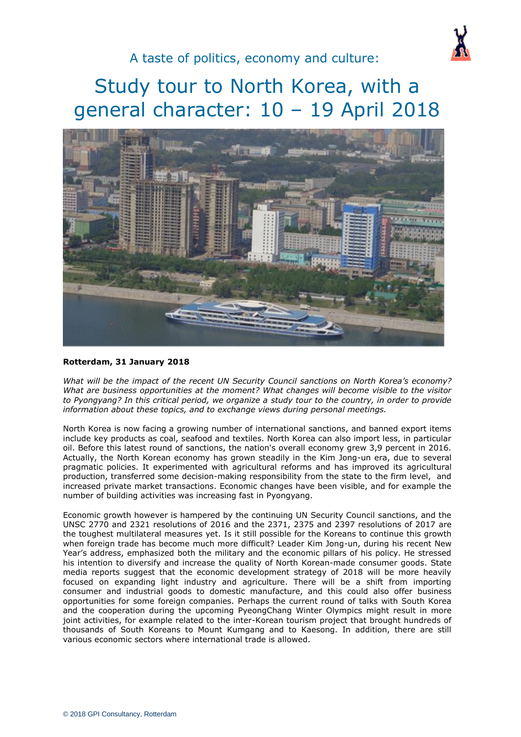

# Study tour to North Korea, with a general character: 10 – 19 April 2018



#### **Rotterdam, 31 January 2018**

*What will be the impact of the recent UN Security Council sanctions on North Korea's economy? What are business opportunities at the moment? What changes will become visible to the visitor to Pyongyang? In this critical period, we organize a study tour to the country, in order to provide information about these topics, and to exchange views during personal meetings.*

North Korea is now facing a growing number of international sanctions, and banned export items include key products as coal, seafood and textiles. North Korea can also import less, in particular oil. Before this latest round of sanctions, the nation's overall economy grew 3,9 percent in 2016. Actually, the North Korean economy has grown steadily in the Kim Jong-un era, due to several pragmatic policies. It experimented with agricultural reforms and has improved its agricultural production, transferred some decision-making responsibility from the state to the firm level, and increased private market transactions. Economic changes have been visible, and for example the number of building activities was increasing fast in Pyongyang.

Economic growth however is hampered by the continuing UN Security Council sanctions, and the UNSC 2770 and 2321 resolutions of 2016 and the 2371, 2375 and 2397 resolutions of 2017 are the toughest multilateral measures yet. Is it still possible for the Koreans to continue this growth when foreign trade has become much more difficult? Leader Kim Jong-un, during his recent New Year's address, emphasized both the military and the economic pillars of his policy. He stressed his intention to diversify and increase the quality of North Korean-made consumer goods. State media reports suggest that the economic development strategy of 2018 will be more heavily focused on expanding light industry and agriculture. There will be a shift from importing consumer and industrial goods to domestic manufacture, and this could also offer business opportunities for some foreign companies. Perhaps the current round of talks with South Korea and the cooperation during the upcoming PyeongChang Winter Olympics might result in more joint activities, for example related to the inter-Korean tourism project that brought hundreds of thousands of South Koreans to Mount Kumgang and to Kaesong. In addition, there are still various economic sectors where international trade is allowed.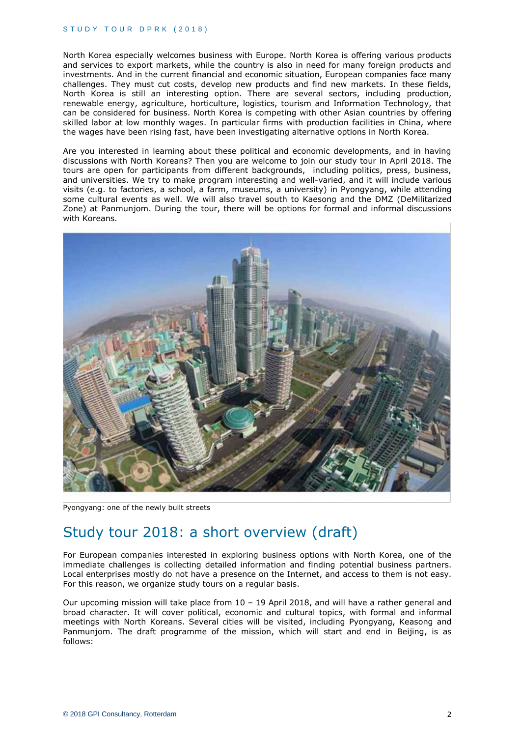#### STUDY TOUR DPRK (2018)

North Korea especially welcomes business with Europe. North Korea is offering various products and services to export markets, while the country is also in need for many foreign products and investments. And in the current financial and economic situation, European companies face many challenges. They must cut costs, develop new products and find new markets. In these fields, North Korea is still an interesting option. There are several sectors, including production, renewable energy, agriculture, horticulture, logistics, tourism and Information Technology, that can be considered for business. North Korea is competing with other Asian countries by offering skilled labor at low monthly wages. In particular firms with production facilities in China, where the wages have been rising fast, have been investigating alternative options in North Korea.

Are you interested in learning about these political and economic developments, and in having discussions with North Koreans? Then you are welcome to join our study tour in April 2018. The tours are open for participants from different backgrounds, including politics, press, business, and universities. We try to make program interesting and well-varied, and it will include various visits (e.g. to factories, a school, a farm, museums, a university) in Pyongyang, while attending some cultural events as well. We will also travel south to Kaesong and the DMZ (DeMilitarized Zone) at Panmunjom. During the tour, there will be options for formal and informal discussions with Koreans.



Pyongyang: one of the newly built streets

# Study tour 2018: a short overview (draft)

For European companies interested in exploring business options with North Korea, one of the immediate challenges is collecting detailed information and finding potential business partners. Local enterprises mostly do not have a presence on the Internet, and access to them is not easy. For this reason, we organize study tours on a regular basis.

Our upcoming mission will take place from 10 – 19 April 2018, and will have a rather general and broad character. It will cover political, economic and cultural topics, with formal and informal meetings with North Koreans. Several cities will be visited, including Pyongyang, Keasong and Panmunjom. The draft programme of the mission, which will start and end in Beijing, is as follows: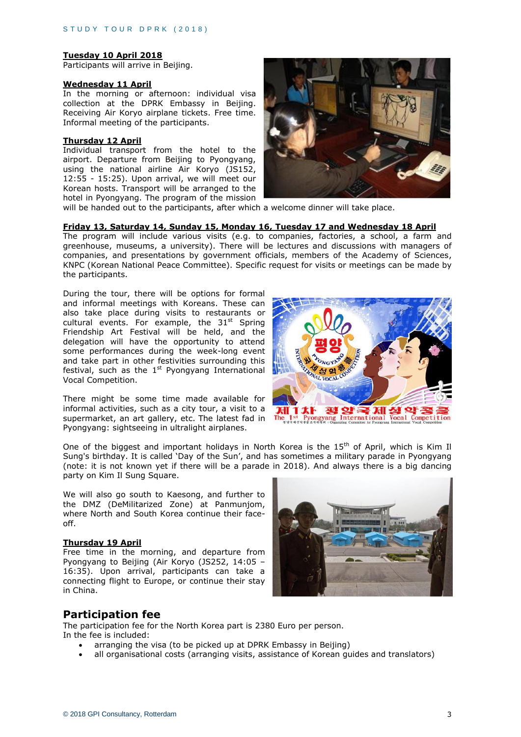#### **Tuesday 10 April 2018**

Participants will arrive in Beijing.

#### **Wednesday 11 April**

In the morning or afternoon: individual visa collection at the DPRK Embassy in Beijing. Receiving Air Koryo airplane tickets. Free time. Informal meeting of the participants.

#### **Thursday 12 April**

Individual transport from the hotel to the airport. Departure from Beijing to Pyongyang, using the national airline Air Koryo (JS152, 12:55 - 15:25). Upon arrival, we will meet our Korean hosts. Transport will be arranged to the hotel in Pyongyang. The program of the mission



will be handed out to the participants, after which a welcome dinner will take place.

#### **Friday 13, Saturday 14, Sunday 15, Monday 16, Tuesday 17 and Wednesday 18 April**

The program will include various visits (e.g. to companies, factories, a school, a farm and greenhouse, museums, a university). There will be lectures and discussions with managers of companies, and presentations by government officials, members of the Academy of Sciences, KNPC (Korean National Peace Committee). Specific request for visits or meetings can be made by the participants.

During the tour, there will be options for formal and informal meetings with Koreans. These can also take place during visits to restaurants or cultural events. For example, the  $31<sup>st</sup>$  Spring Friendship Art Festival will be held, and the delegation will have the opportunity to attend some performances during the week-long event and take part in other festivities surrounding this festival, such as the  $1<sup>st</sup>$  Pyongyang International Vocal Competition.

There might be some time made available for informal activities, such as a city tour, a visit to a informal activities, such as a city tour, a visit to a supermarket, an art gallery, etc. The latest fad in Pyongyang: sightseeing in ultralight airplanes.



One of the biggest and important holidays in North Korea is the  $15<sup>th</sup>$  of April, which is Kim Il Sung's birthday. It is called 'Day of the Sun', and has sometimes a military parade in Pyongyang (note: it is not known yet if there will be a parade in 2018). And always there is a big dancing party on Kim Il Sung Square.

We will also go south to Kaesong, and further to the DMZ (DeMilitarized Zone) at Panmunjom, where North and South Korea continue their faceoff.

#### **Thursday 19 April**

Free time in the morning, and departure from Pyongyang to Beijing (Air Koryo (JS252, 14:05 – 16:35). Upon arrival, participants can take a connecting flight to Europe, or continue their stay in China.



### **Participation fee**

The participation fee for the North Korea part is 2380 Euro per person. In the fee is included:

- arranging the visa (to be picked up at DPRK Embassy in Beijing)
- all organisational costs (arranging visits, assistance of Korean guides and translators)